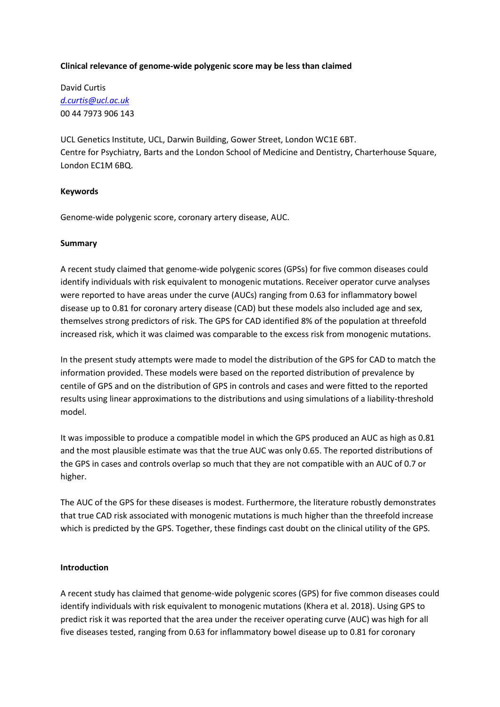## **Clinical relevance of genome-wide polygenic score may be less than claimed**

David Curtis *[d.curtis@ucl.ac.uk](mailto:d.curtis@ucl.ac.uk)* 00 44 7973 906 143

UCL Genetics Institute, UCL, Darwin Building, Gower Street, London WC1E 6BT. Centre for Psychiatry, Barts and the London School of Medicine and Dentistry, Charterhouse Square, London EC1M 6BQ.

# **Keywords**

Genome-wide polygenic score, coronary artery disease, AUC.

# **Summary**

A recent study claimed that genome-wide polygenic scores (GPSs) for five common diseases could identify individuals with risk equivalent to monogenic mutations. Receiver operator curve analyses were reported to have areas under the curve (AUCs) ranging from 0.63 for inflammatory bowel disease up to 0.81 for coronary artery disease (CAD) but these models also included age and sex, themselves strong predictors of risk. The GPS for CAD identified 8% of the population at threefold increased risk, which it was claimed was comparable to the excess risk from monogenic mutations.

In the present study attempts were made to model the distribution of the GPS for CAD to match the information provided. These models were based on the reported distribution of prevalence by centile of GPS and on the distribution of GPS in controls and cases and were fitted to the reported results using linear approximations to the distributions and using simulations of a liability-threshold model.

It was impossible to produce a compatible model in which the GPS produced an AUC as high as 0.81 and the most plausible estimate was that the true AUC was only 0.65. The reported distributions of the GPS in cases and controls overlap so much that they are not compatible with an AUC of 0.7 or higher.

The AUC of the GPS for these diseases is modest. Furthermore, the literature robustly demonstrates that true CAD risk associated with monogenic mutations is much higher than the threefold increase which is predicted by the GPS. Together, these findings cast doubt on the clinical utility of the GPS.

### **Introduction**

A recent study has claimed that genome-wide polygenic scores (GPS) for five common diseases could identify individuals with risk equivalent to monogenic mutations (Khera et al. 2018). Using GPS to predict risk it was reported that the area under the receiver operating curve (AUC) was high for all five diseases tested, ranging from 0.63 for inflammatory bowel disease up to 0.81 for coronary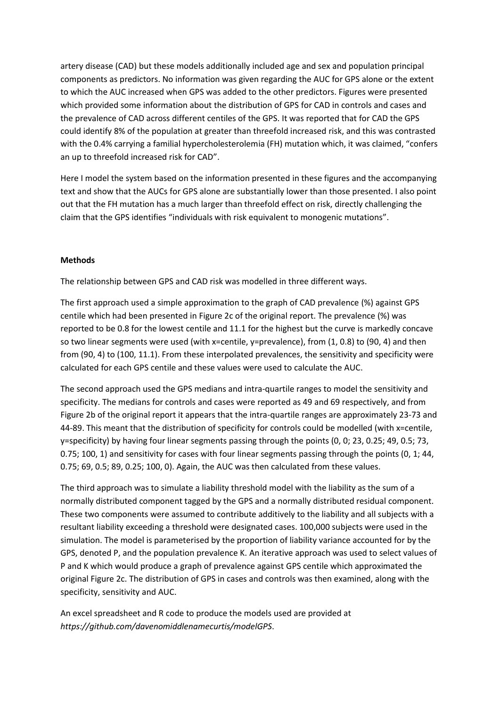artery disease (CAD) but these models additionally included age and sex and population principal components as predictors. No information was given regarding the AUC for GPS alone or the extent to which the AUC increased when GPS was added to the other predictors. Figures were presented which provided some information about the distribution of GPS for CAD in controls and cases and the prevalence of CAD across different centiles of the GPS. It was reported that for CAD the GPS could identify 8% of the population at greater than threefold increased risk, and this was contrasted with the 0.4% carrying a familial hypercholesterolemia (FH) mutation which, it was claimed, "confers an up to threefold increased risk for CAD".

Here I model the system based on the information presented in these figures and the accompanying text and show that the AUCs for GPS alone are substantially lower than those presented. I also point out that the FH mutation has a much larger than threefold effect on risk, directly challenging the claim that the GPS identifies "individuals with risk equivalent to monogenic mutations".

### **Methods**

The relationship between GPS and CAD risk was modelled in three different ways.

The first approach used a simple approximation to the graph of CAD prevalence (%) against GPS centile which had been presented in Figure 2c of the original report. The prevalence (%) was reported to be 0.8 for the lowest centile and 11.1 for the highest but the curve is markedly concave so two linear segments were used (with x=centile, y=prevalence), from (1, 0.8) to (90, 4) and then from (90, 4) to (100, 11.1). From these interpolated prevalences, the sensitivity and specificity were calculated for each GPS centile and these values were used to calculate the AUC.

The second approach used the GPS medians and intra-quartile ranges to model the sensitivity and specificity. The medians for controls and cases were reported as 49 and 69 respectively, and from Figure 2b of the original report it appears that the intra-quartile ranges are approximately 23-73 and 44-89. This meant that the distribution of specificity for controls could be modelled (with x=centile, y=specificity) by having four linear segments passing through the points (0, 0; 23, 0.25; 49, 0.5; 73, 0.75; 100, 1) and sensitivity for cases with four linear segments passing through the points (0, 1; 44, 0.75; 69, 0.5; 89, 0.25; 100, 0). Again, the AUC was then calculated from these values.

The third approach was to simulate a liability threshold model with the liability as the sum of a normally distributed component tagged by the GPS and a normally distributed residual component. These two components were assumed to contribute additively to the liability and all subjects with a resultant liability exceeding a threshold were designated cases. 100,000 subjects were used in the simulation. The model is parameterised by the proportion of liability variance accounted for by the GPS, denoted P, and the population prevalence K. An iterative approach was used to select values of P and K which would produce a graph of prevalence against GPS centile which approximated the original Figure 2c. The distribution of GPS in cases and controls was then examined, along with the specificity, sensitivity and AUC.

An excel spreadsheet and R code to produce the models used are provided at *https://github.com/davenomiddlenamecurtis/modelGPS*.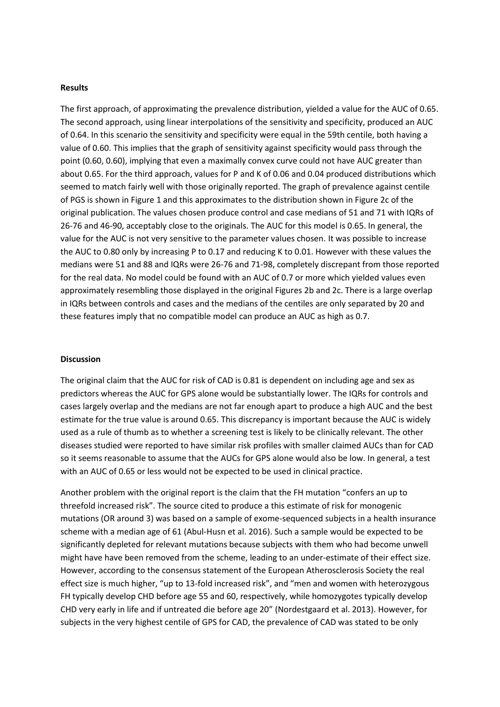#### **Results**

The first approach, of approximating the prevalence distribution, yielded a value for the AUC of 0.65. The second approach, using linear interpolations of the sensitivity and specificity, produced an AUC of 0.64. In this scenario the sensitivity and specificity were equal in the 59th centile, both having a value of 0.60. This implies that the graph of sensitivity against specificity would pass through the point (0.60, 0.60), implying that even a maximally convex curve could not have AUC greater than about 0.65. For the third approach, values for P and K of 0.06 and 0.04 produced distributions which seemed to match fairly well with those originally reported. The graph of prevalence against centile of PGS is shown in Figure 1 and this approximates to the distribution shown in Figure 2c of the original publication. The values chosen produce control and case medians of 51 and 71 with IQRs of 26-76 and 46-90, acceptably close to the originals. The AUC for this model is 0.65. In general, the value for the AUC is not very sensitive to the parameter values chosen. It was possible to increase the AUC to 0.80 only by increasing P to 0.17 and reducing K to 0.01. However with these values the medians were 51 and 88 and IQRs were 26-76 and 71-98, completely discrepant from those reported for the real data. No model could be found with an AUC of 0.7 or more which yielded values even approximately resembling those displayed in the original Figures 2b and 2c. There is a large overlap in IQRs between controls and cases and the medians of the centiles are only separated by 20 and these features imply that no compatible model can produce an AUC as high as 0.7.

#### **Discussion**

The original claim that the AUC for risk of CAD is 0.81 is dependent on including age and sex as predictors whereas the AUC for GPS alone would be substantially lower. The IQRs for controls and cases largely overlap and the medians are not far enough apart to produce a high AUC and the best estimate for the true value is around 0.65. This discrepancy is important because the AUC is widely used as a rule of thumb as to whether a screening test is likely to be clinically relevant. The other diseases studied were reported to have similar risk profiles with smaller claimed AUCs than for CAD so it seems reasonable to assume that the AUCs for GPS alone would also be low. In general, a test with an AUC of 0.65 or less would not be expected to be used in clinical practice.

Another problem with the original report is the claim that the FH mutation "confers an up to threefold increased risk". The source cited to produce a this estimate of risk for monogenic mutations (OR around 3) was based on a sample of exome-sequenced subjects in a health insurance scheme with a median age of 61 (Abul-Husn et al. 2016). Such a sample would be expected to be significantly depleted for relevant mutations because subjects with them who had become unwell might have have been removed from the scheme, leading to an under-estimate of their effect size. However, according to the consensus statement of the European Atherosclerosis Society the real effect size is much higher, "up to 13-fold increased risk", and "men and women with heterozygous FH typically develop CHD before age 55 and 60, respectively, while homozygotes typically develop CHD very early in life and if untreated die before age 20" (Nordestgaard et al. 2013). However, for subjects in the very highest centile of GPS for CAD, the prevalence of CAD was stated to be only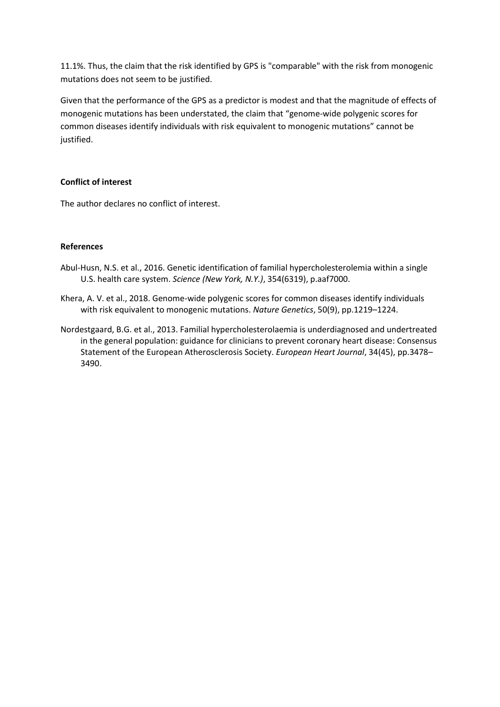11.1%. Thus, the claim that the risk identified by GPS is "comparable" with the risk from monogenic mutations does not seem to be justified.

Given that the performance of the GPS as a predictor is modest and that the magnitude of effects of monogenic mutations has been understated, the claim that "genome-wide polygenic scores for common diseases identify individuals with risk equivalent to monogenic mutations" cannot be justified.

# **Conflict of interest**

The author declares no conflict of interest.

# **References**

- Abul-Husn, N.S. et al., 2016. Genetic identification of familial hypercholesterolemia within a single U.S. health care system. *Science (New York, N.Y.)*, 354(6319), p.aaf7000.
- Khera, A. V. et al., 2018. Genome-wide polygenic scores for common diseases identify individuals with risk equivalent to monogenic mutations. *Nature Genetics*, 50(9), pp.1219–1224.
- Nordestgaard, B.G. et al., 2013. Familial hypercholesterolaemia is underdiagnosed and undertreated in the general population: guidance for clinicians to prevent coronary heart disease: Consensus Statement of the European Atherosclerosis Society. *European Heart Journal*, 34(45), pp.3478– 3490.